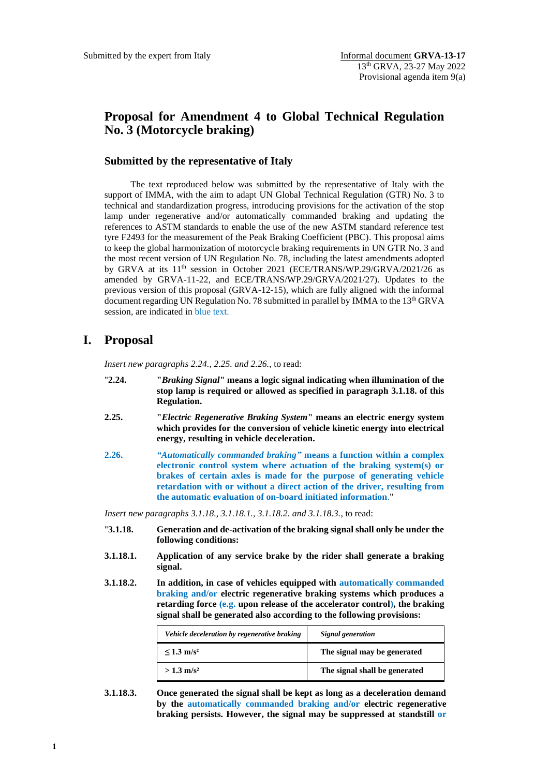## **Proposal for Amendment 4 to Global Technical Regulation No. 3 (Motorcycle braking)**

## **Submitted by the representative of Italy**

The text reproduced below was submitted by the representative of Italy with the support of IMMA, with the aim to adapt UN Global Technical Regulation (GTR) No. 3 to technical and standardization progress, introducing provisions for the activation of the stop lamp under regenerative and/or automatically commanded braking and updating the references to ASTM standards to enable the use of the new ASTM standard reference test tyre F2493 for the measurement of the Peak Braking Coefficient (PBC). This proposal aims to keep the global harmonization of motorcycle braking requirements in UN GTR No. 3 and the most recent version of UN Regulation No. 78, including the latest amendments adopted by GRVA at its 11<sup>th</sup> session in October 2021 (ECE/TRANS/WP.29/GRVA/2021/26 as amended by GRVA-11-22, and ECE/TRANS/WP.29/GRVA/2021/27). Updates to the previous version of this proposal (GRVA-12-15), which are fully aligned with the informal document regarding UN Regulation No. 78 submitted in parallel by IMMA to the 13<sup>th</sup> GRVA session, are indicated in blue text.

## **I. Proposal**

*Insert new paragraphs 2.24., 2.25. and 2.26.*, to read:

- "**2.24. "***Braking Signal***" means a logic signal indicating when illumination of the stop lamp is required or allowed as specified in paragraph 3.1.18. of this Regulation.**
- **2.25. "***Electric Regenerative Braking System***" means an electric energy system which provides for the conversion of vehicle kinetic energy into electrical energy, resulting in vehicle deceleration.**
- **2.26.** *"Automatically commanded braking"* **means a function within a complex electronic control system where actuation of the braking system(s) or brakes of certain axles is made for the purpose of generating vehicle retardation with or without a direct action of the driver, resulting from the automatic evaluation of on-board initiated information**."

*Insert new paragraphs 3.1.18., 3.1.18.1., 3.1.18.2. and 3.1.18.3.,* to read:

- "**3.1.18. Generation and de-activation of the braking signal shall only be under the following conditions:**
- **3.1.18.1. Application of any service brake by the rider shall generate a braking signal.**
- **3.1.18.2. In addition, in case of vehicles equipped with automatically commanded braking and/or electric regenerative braking systems which produces a retarding force (e.g. upon release of the accelerator control), the braking signal shall be generated also according to the following provisions:**

| Vehicle deceleration by regenerative braking | Signal generation             |
|----------------------------------------------|-------------------------------|
| $\leq$ 1.3 m/s <sup>2</sup>                  | The signal may be generated   |
| $> 1.3$ m/s <sup>2</sup>                     | The signal shall be generated |

**3.1.18.3. Once generated the signal shall be kept as long as a deceleration demand by the automatically commanded braking and/or electric regenerative braking persists. However, the signal may be suppressed at standstill or**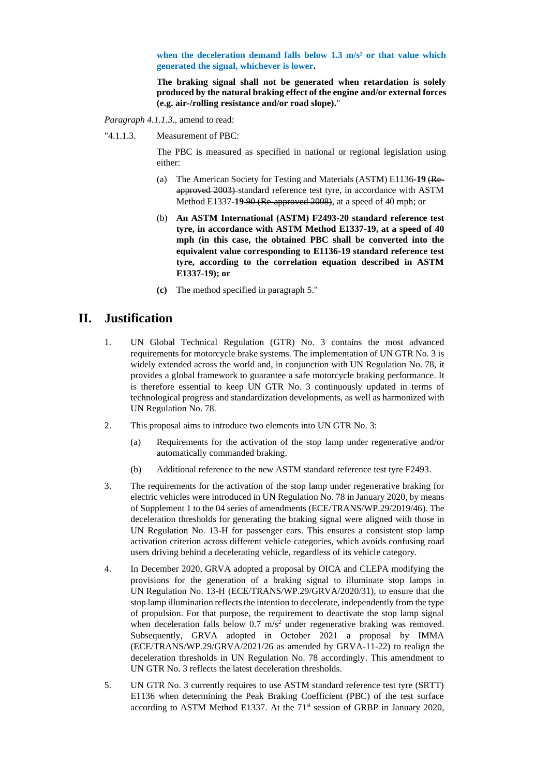**when the deceleration demand falls below 1.3 m/s² or that value which generated the signal, whichever is lower.**

**The braking signal shall not be generated when retardation is solely produced by the natural braking effect of the engine and/or external forces (e.g. air-/rolling resistance and/or road slope).**"

*Paragraph 4.1.1.3.,* amend to read:

"4.1.1.3. Measurement of PBC:

The PBC is measured as specified in national or regional legislation using either:

- (a) The American Society for Testing and Materials (ASTM) E1136**-19** (Reapproved 2003) standard reference test tyre, in accordance with ASTM Method E1337**-19** 90 (Re-approved 2008), at a speed of 40 mph; or
- (b) **An ASTM International (ASTM) F2493-20 standard reference test tyre, in accordance with ASTM Method E1337-19, at a speed of 40 mph (in this case, the obtained PBC shall be converted into the equivalent value corresponding to E1136-19 standard reference test tyre, according to the correlation equation described in ASTM E1337-19); or**
- **(c)** The method specified in paragraph 5."

## **II. Justification**

- 1. UN Global Technical Regulation (GTR) No. 3 contains the most advanced requirements for motorcycle brake systems. The implementation of UN GTR No. 3 is widely extended across the world and, in conjunction with UN Regulation No. 78, it provides a global framework to guarantee a safe motorcycle braking performance. It is therefore essential to keep UN GTR No. 3 continuously updated in terms of technological progress and standardization developments, as well as harmonized with UN Regulation No. 78.
- 2. This proposal aims to introduce two elements into UN GTR No. 3:
	- (a) Requirements for the activation of the stop lamp under regenerative and/or automatically commanded braking.
	- (b) Additional reference to the new ASTM standard reference test tyre F2493.
- 3. The requirements for the activation of the stop lamp under regenerative braking for electric vehicles were introduced in UN Regulation No. 78 in January 2020, by means of Supplement 1 to the 04 series of amendments (ECE/TRANS/WP.29/2019/46). The deceleration thresholds for generating the braking signal were aligned with those in UN Regulation No. 13-H for passenger cars. This ensures a consistent stop lamp activation criterion across different vehicle categories, which avoids confusing road users driving behind a decelerating vehicle, regardless of its vehicle category.
- 4. In December 2020, GRVA adopted a proposal by OICA and CLEPA modifying the provisions for the generation of a braking signal to illuminate stop lamps in UN Regulation No. 13-H (ECE/TRANS/WP.29/GRVA/2020/31), to ensure that the stop lamp illumination reflects the intention to decelerate, independently from the type of propulsion. For that purpose, the requirement to deactivate the stop lamp signal when deceleration falls below  $0.7 \text{ m/s}^2$  under regenerative braking was removed. Subsequently, GRVA adopted in October 2021 a proposal by IMMA (ECE/TRANS/WP.29/GRVA/2021/26 as amended by GRVA-11-22) to realign the deceleration thresholds in UN Regulation No. 78 accordingly. This amendment to UN GTR No. 3 reflects the latest deceleration thresholds.
- 5. UN GTR No. 3 currently requires to use ASTM standard reference test tyre (SRTT) E1136 when determining the Peak Braking Coefficient (PBC) of the test surface according to ASTM Method E1337. At the 71st session of GRBP in January 2020,